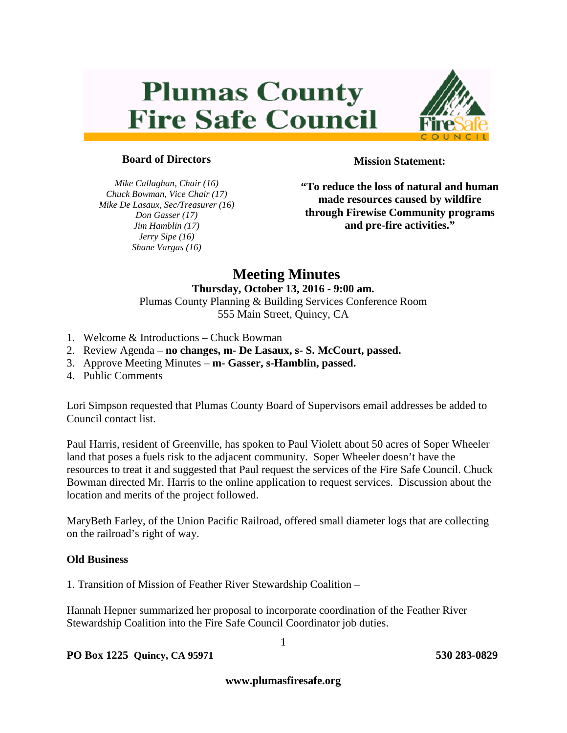# **Plumas County Fire Safe Council**



# **Board of Directors**

*Mike Callaghan, Chair (16) Chuck Bowman, Vice Chair (17) Mike De Lasaux, Sec/Treasurer (16) Don Gasser (17) Jim Hamblin (17) Jerry Sipe (16) Shane Vargas (16)*

**Mission Statement:**

**"To reduce the loss of natural and human made resources caused by wildfire through Firewise Community programs and pre-fire activities."**

# **Meeting Minutes**

#### **Thursday, October 13, 2016 - 9:00 am.** Plumas County Planning & Building Services Conference Room 555 Main Street, Quincy, CA

- 1. Welcome & Introductions Chuck Bowman
- 2. Review Agenda **no changes, m- De Lasaux, s- S. McCourt, passed.**
- 3. Approve Meeting Minutes **m- Gasser, s-Hamblin, passed.**
- 4. Public Comments

Lori Simpson requested that Plumas County Board of Supervisors email addresses be added to Council contact list.

Paul Harris, resident of Greenville, has spoken to Paul Violett about 50 acres of Soper Wheeler land that poses a fuels risk to the adjacent community. Soper Wheeler doesn't have the resources to treat it and suggested that Paul request the services of the Fire Safe Council. Chuck Bowman directed Mr. Harris to the online application to request services. Discussion about the location and merits of the project followed.

MaryBeth Farley, of the Union Pacific Railroad, offered small diameter logs that are collecting on the railroad's right of way.

## **Old Business**

1. Transition of Mission of Feather River Stewardship Coalition –

Hannah Hepner summarized her proposal to incorporate coordination of the Feather River Stewardship Coalition into the Fire Safe Council Coordinator job duties.

**PO Box 1225 Quincy, CA 95971 530 283-0829** 

**www.plumasfiresafe.org**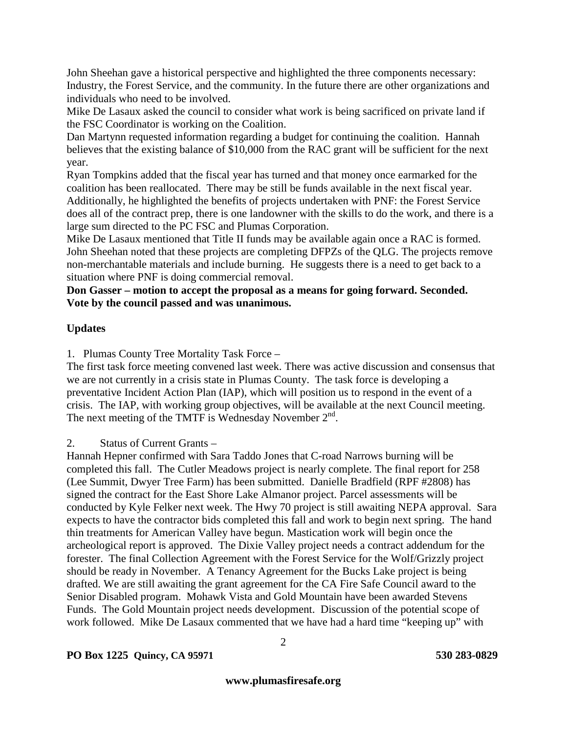John Sheehan gave a historical perspective and highlighted the three components necessary: Industry, the Forest Service, and the community. In the future there are other organizations and individuals who need to be involved.

Mike De Lasaux asked the council to consider what work is being sacrificed on private land if the FSC Coordinator is working on the Coalition.

Dan Martynn requested information regarding a budget for continuing the coalition. Hannah believes that the existing balance of \$10,000 from the RAC grant will be sufficient for the next year.

Ryan Tompkins added that the fiscal year has turned and that money once earmarked for the coalition has been reallocated. There may be still be funds available in the next fiscal year. Additionally, he highlighted the benefits of projects undertaken with PNF: the Forest Service does all of the contract prep, there is one landowner with the skills to do the work, and there is a large sum directed to the PC FSC and Plumas Corporation.

Mike De Lasaux mentioned that Title II funds may be available again once a RAC is formed. John Sheehan noted that these projects are completing DFPZs of the QLG. The projects remove non-merchantable materials and include burning. He suggests there is a need to get back to a situation where PNF is doing commercial removal.

## **Don Gasser – motion to accept the proposal as a means for going forward. Seconded. Vote by the council passed and was unanimous.**

# **Updates**

1. Plumas County Tree Mortality Task Force –

The first task force meeting convened last week. There was active discussion and consensus that we are not currently in a crisis state in Plumas County. The task force is developing a preventative Incident Action Plan (IAP), which will position us to respond in the event of a crisis. The IAP, with working group objectives, will be available at the next Council meeting. The next meeting of the TMTF is Wednesday November  $2<sup>nd</sup>$ .

2. Status of Current Grants –

Hannah Hepner confirmed with Sara Taddo Jones that C-road Narrows burning will be completed this fall. The Cutler Meadows project is nearly complete. The final report for 258 (Lee Summit, Dwyer Tree Farm) has been submitted. Danielle Bradfield (RPF #2808) has signed the contract for the East Shore Lake Almanor project. Parcel assessments will be conducted by Kyle Felker next week. The Hwy 70 project is still awaiting NEPA approval. Sara expects to have the contractor bids completed this fall and work to begin next spring. The hand thin treatments for American Valley have begun. Mastication work will begin once the archeological report is approved. The Dixie Valley project needs a contract addendum for the forester. The final Collection Agreement with the Forest Service for the Wolf/Grizzly project should be ready in November. A Tenancy Agreement for the Bucks Lake project is being drafted. We are still awaiting the grant agreement for the CA Fire Safe Council award to the Senior Disabled program. Mohawk Vista and Gold Mountain have been awarded Stevens Funds. The Gold Mountain project needs development. Discussion of the potential scope of work followed. Mike De Lasaux commented that we have had a hard time "keeping up" with

**PO Box 1225 Quincy, CA 95971 530 283-0829**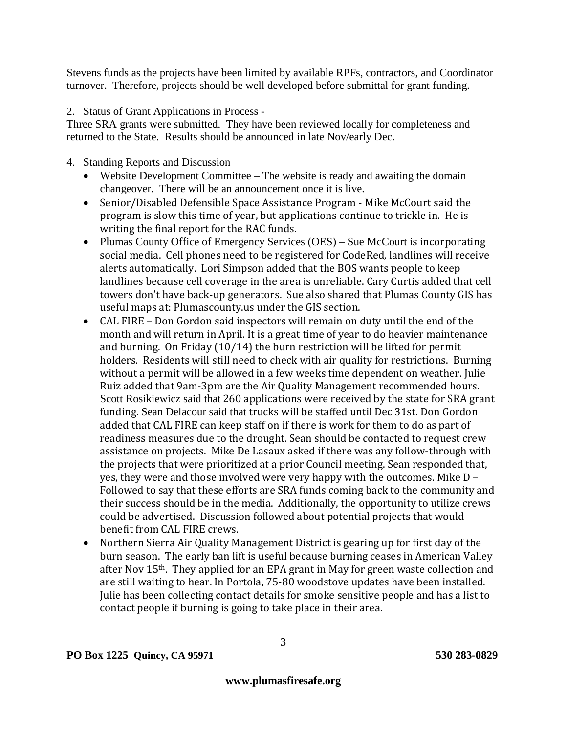Stevens funds as the projects have been limited by available RPFs, contractors, and Coordinator turnover. Therefore, projects should be well developed before submittal for grant funding.

2. Status of Grant Applications in Process -

Three SRA grants were submitted. They have been reviewed locally for completeness and returned to the State. Results should be announced in late Nov/early Dec.

- 4. Standing Reports and Discussion
	- Website Development Committee The website is ready and awaiting the domain changeover. There will be an announcement once it is live.
	- Senior/Disabled Defensible Space Assistance Program Mike McCourt said the program is slow this time of year, but applications continue to trickle in. He is writing the final report for the RAC funds.
	- Plumas County Office of Emergency Services (OES) Sue McCourt is incorporating social media. Cell phones need to be registered for CodeRed, landlines will receive alerts automatically. Lori Simpson added that the BOS wants people to keep landlines because cell coverage in the area is unreliable. Cary Curtis added that cell towers don't have back-up generators. Sue also shared that Plumas County GIS has useful maps at: Plumascounty.us under the GIS section.
	- CAL FIRE Don Gordon said inspectors will remain on duty until the end of the month and will return in April. It is a great time of year to do heavier maintenance and burning. On Friday (10/14) the burn restriction will be lifted for permit holders. Residents will still need to check with air quality for restrictions. Burning without a permit will be allowed in a few weeks time dependent on weather. Julie Ruiz added that 9am-3pm are the Air Quality Management recommended hours. Scott Rosikiewicz said that 260 applications were received by the state for SRA grant funding. Sean Delacour said that trucks will be staffed until Dec 31st. Don Gordon added that CAL FIRE can keep staff on if there is work for them to do as part of readiness measures due to the drought. Sean should be contacted to request crew assistance on projects. Mike De Lasaux asked if there was any follow-through with the projects that were prioritized at a prior Council meeting. Sean responded that, yes, they were and those involved were very happy with the outcomes. Mike D – Followed to say that these efforts are SRA funds coming back to the community and their success should be in the media. Additionally, the opportunity to utilize crews could be advertised. Discussion followed about potential projects that would benefit from CAL FIRE crews.
	- Northern Sierra Air Quality Management District is gearing up for first day of the burn season. The early ban lift is useful because burning ceases in American Valley after Nov 15<sup>th</sup>. They applied for an EPA grant in May for green waste collection and are still waiting to hear. In Portola, 75-80 woodstove updates have been installed. Julie has been collecting contact details for smoke sensitive people and has a list to contact people if burning is going to take place in their area.